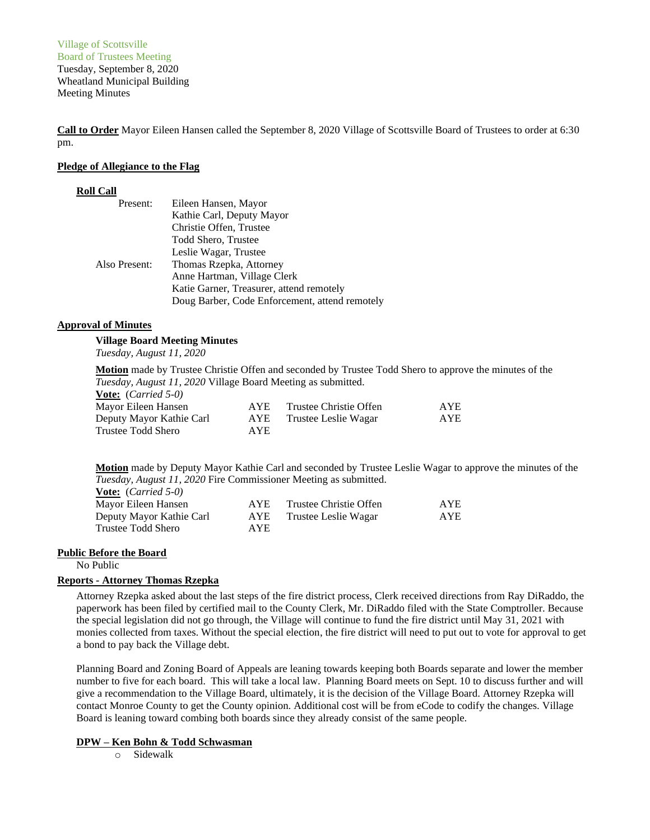Village of Scottsville Board of Trustees Meeting Tuesday, September 8, 2020 Wheatland Municipal Building Meeting Minutes

**Call to Order** Mayor Eileen Hansen called the September 8, 2020 Village of Scottsville Board of Trustees to order at 6:30 pm.

## **Pledge of Allegiance to the Flag**

### **Roll Call**

| Present:      | Eileen Hansen, Mayor                           |
|---------------|------------------------------------------------|
|               | Kathie Carl, Deputy Mayor                      |
|               | Christie Offen, Trustee                        |
|               | Todd Shero, Trustee                            |
|               | Leslie Wagar, Trustee                          |
| Also Present: | Thomas Rzepka, Attorney                        |
|               | Anne Hartman, Village Clerk                    |
|               | Katie Garner, Treasurer, attend remotely       |
|               | Doug Barber, Code Enforcement, attend remotely |

## **Approval of Minutes**

## **Village Board Meeting Minutes**

*Tuesday, August 11, 2020*

**Motion** made by Trustee Christie Offen and seconded by Trustee Todd Shero to approve the minutes of the *Tuesday, August 11, 2020* Village Board Meeting as submitted.

| Mayor Eileen Hansen      | AYE  | Trustee Christie Offen | <b>AYE</b> |
|--------------------------|------|------------------------|------------|
| Deputy Mayor Kathie Carl | AYE  | Trustee Leslie Wagar   | <b>AYE</b> |
| Trustee Todd Shero       | AYE. |                        |            |

**Motion** made by Deputy Mayor Kathie Carl and seconded by Trustee Leslie Wagar to approve the minutes of the *Tuesday, August 11, 2020* Fire Commissioner Meeting as submitted.

| <b><u>Vote:</u></b> ( <i>Carried</i> 5-0) |      |                        |            |
|-------------------------------------------|------|------------------------|------------|
| Mayor Eileen Hansen                       | AYE. | Trustee Christie Offen | <b>AYE</b> |
| Deputy Mayor Kathie Carl                  | AYE. | Trustee Leslie Wagar   | <b>AYE</b> |
| Trustee Todd Shero                        | AYE. |                        |            |

### **Public Before the Board**

No Public

## **Reports - Attorney Thomas Rzepka**

Attorney Rzepka asked about the last steps of the fire district process, Clerk received directions from Ray DiRaddo, the paperwork has been filed by certified mail to the County Clerk, Mr. DiRaddo filed with the State Comptroller. Because the special legislation did not go through, the Village will continue to fund the fire district until May 31, 2021 with monies collected from taxes. Without the special election, the fire district will need to put out to vote for approval to get a bond to pay back the Village debt.

Planning Board and Zoning Board of Appeals are leaning towards keeping both Boards separate and lower the member number to five for each board. This will take a local law. Planning Board meets on Sept. 10 to discuss further and will give a recommendation to the Village Board, ultimately, it is the decision of the Village Board. Attorney Rzepka will contact Monroe County to get the County opinion. Additional cost will be from eCode to codify the changes. Village Board is leaning toward combing both boards since they already consist of the same people.

## **DPW – Ken Bohn & Todd Schwasman**

o Sidewalk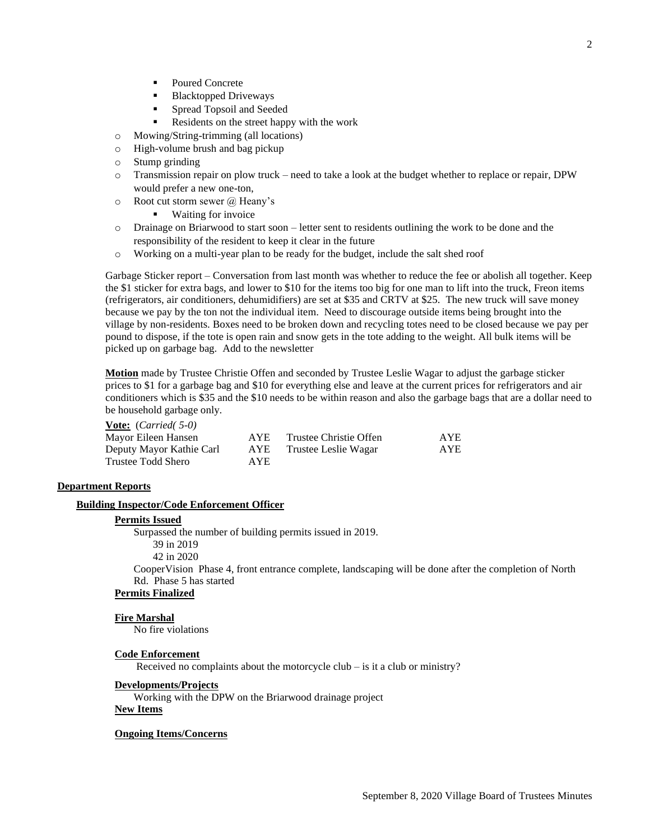- Poured Concrete
- **Blacktopped Driveways**
- Spread Topsoil and Seeded
- Residents on the street happy with the work
- o Mowing/String-trimming (all locations)
- o High-volume brush and bag pickup
- o Stump grinding
- o Transmission repair on plow truck need to take a look at the budget whether to replace or repair, DPW would prefer a new one-ton,
- $\circ$  Root cut storm sewer  $\omega$  Heany's
	- Waiting for invoice
- o Drainage on Briarwood to start soon letter sent to residents outlining the work to be done and the responsibility of the resident to keep it clear in the future
- o Working on a multi-year plan to be ready for the budget, include the salt shed roof

Garbage Sticker report – Conversation from last month was whether to reduce the fee or abolish all together. Keep the \$1 sticker for extra bags, and lower to \$10 for the items too big for one man to lift into the truck, Freon items (refrigerators, air conditioners, dehumidifiers) are set at \$35 and CRTV at \$25. The new truck will save money because we pay by the ton not the individual item. Need to discourage outside items being brought into the village by non-residents. Boxes need to be broken down and recycling totes need to be closed because we pay per pound to dispose, if the tote is open rain and snow gets in the tote adding to the weight. All bulk items will be picked up on garbage bag. Add to the newsletter

**Motion** made by Trustee Christie Offen and seconded by Trustee Leslie Wagar to adjust the garbage sticker prices to \$1 for a garbage bag and \$10 for everything else and leave at the current prices for refrigerators and air conditioners which is \$35 and the \$10 needs to be within reason and also the garbage bags that are a dollar need to be household garbage only.

## **Vote:** (*Carried( 5-0)*

| Mayor Eileen Hansen      | AYE  | Trustee Christie Offen | <b>AYE</b> |
|--------------------------|------|------------------------|------------|
| Deputy Mayor Kathie Carl | AYE  | Trustee Leslie Wagar   | AYE        |
| Trustee Todd Shero       | AYE. |                        |            |

#### **Department Reports**

### **Building Inspector/Code Enforcement Officer**

# **Permits Issued**

Surpassed the number of building permits issued in 2019.

39 in 2019

42 in 2020

CooperVision Phase 4, front entrance complete, landscaping will be done after the completion of North Rd. Phase 5 has started

## **Permits Finalized**

### **Fire Marshal**

No fire violations

### **Code Enforcement**

Received no complaints about the motorcycle club – is it a club or ministry?

#### **Developments/Projects**

Working with the DPW on the Briarwood drainage project

# **New Items**

## **Ongoing Items/Concerns**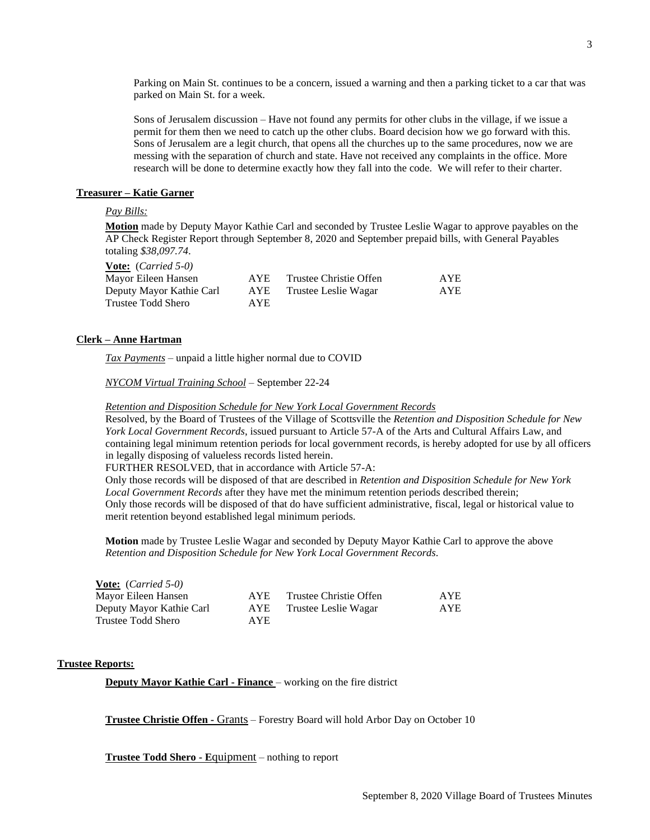Parking on Main St. continues to be a concern, issued a warning and then a parking ticket to a car that was parked on Main St. for a week.

Sons of Jerusalem discussion – Have not found any permits for other clubs in the village, if we issue a permit for them then we need to catch up the other clubs. Board decision how we go forward with this. Sons of Jerusalem are a legit church, that opens all the churches up to the same procedures, now we are messing with the separation of church and state. Have not received any complaints in the office. More research will be done to determine exactly how they fall into the code. We will refer to their charter.

### **Treasurer – Katie Garner**

# *Pay Bills:*

**Motion** made by Deputy Mayor Kathie Carl and seconded by Trustee Leslie Wagar to approve payables on the AP Check Register Report through September 8, 2020 and September prepaid bills, with General Payables totaling *\$38,097.74*.

**Vote:** (*Carried 5-0)*

| <b>AYE</b> | Trustee Christie Offen | <b>AYE</b> |
|------------|------------------------|------------|
| AYE        | Trustee Leslie Wagar   | <b>AYE</b> |
| <b>AYE</b> |                        |            |
|            |                        |            |

## **Clerk – Anne Hartman**

*Tax Payments* – unpaid a little higher normal due to COVID

*NYCOM Virtual Training School* – September 22-24

*Retention and Disposition Schedule for New York Local Government Records*

Resolved, by the Board of Trustees of the Village of Scottsville the *Retention and Disposition Schedule for New York Local Government Records*, issued pursuant to Article 57-A of the Arts and Cultural Affairs Law, and containing legal minimum retention periods for local government records, is hereby adopted for use by all officers in legally disposing of valueless records listed herein.

FURTHER RESOLVED, that in accordance with Article 57-A:

Only those records will be disposed of that are described in *Retention and Disposition Schedule for New York Local Government Records* after they have met the minimum retention periods described therein; Only those records will be disposed of that do have sufficient administrative, fiscal, legal or historical value to merit retention beyond established legal minimum periods.

**Motion** made by Trustee Leslie Wagar and seconded by Deputy Mayor Kathie Carl to approve the above *Retention and Disposition Schedule for New York Local Government Records.*

| <b>Vote:</b> $(Carried 5-0)$ |      |                        |            |
|------------------------------|------|------------------------|------------|
| Mayor Eileen Hansen          | AYE. | Trustee Christie Offen | <b>AYE</b> |
| Deputy Mayor Kathie Carl     | AYE  | Trustee Leslie Wagar   | <b>AYE</b> |
| Trustee Todd Shero           | AYE. |                        |            |

#### **Trustee Reports:**

**Deputy Mayor Kathie Carl - Finance** – working on the fire district

**Trustee Christie Offen -** Grants – Forestry Board will hold Arbor Day on October 10

**Trustee Todd Shero - E**quipment – nothing to report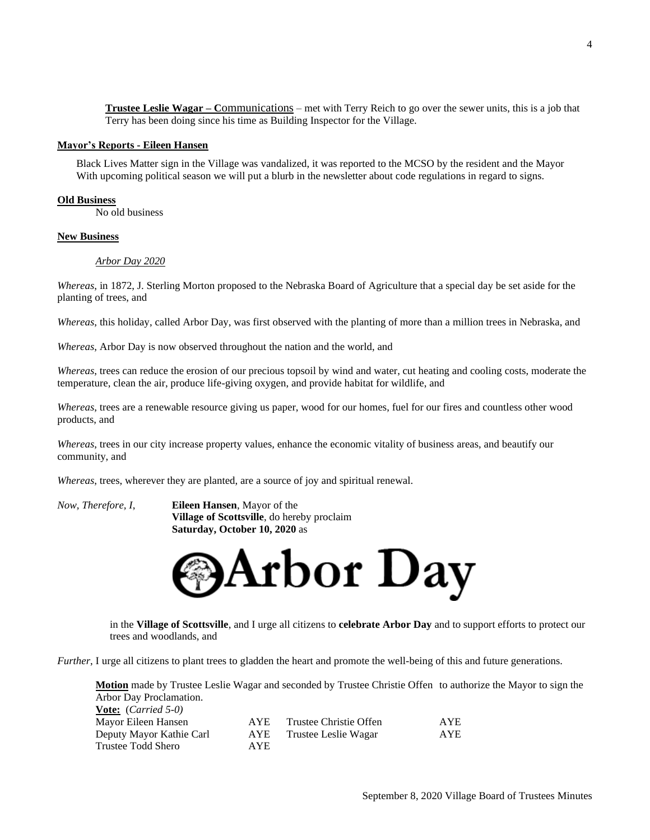**Trustee Leslie Wagar – C**ommunications – met with Terry Reich to go over the sewer units, this is a job that Terry has been doing since his time as Building Inspector for the Village.

## **Mayor's Reports - Eileen Hansen**

Black Lives Matter sign in the Village was vandalized, it was reported to the MCSO by the resident and the Mayor With upcoming political season we will put a blurb in the newsletter about code regulations in regard to signs.

### **Old Business**

No old business

### **New Business**

## *Arbor Day 2020*

*Whereas*, in 1872, J. Sterling Morton proposed to the Nebraska Board of Agriculture that a special day be set aside for the planting of trees, and

*Whereas*, this holiday, called Arbor Day, was first observed with the planting of more than a million trees in Nebraska, and

*Whereas*, Arbor Day is now observed throughout the nation and the world, and

*Whereas*, trees can reduce the erosion of our precious topsoil by wind and water, cut heating and cooling costs, moderate the temperature, clean the air, produce life-giving oxygen, and provide habitat for wildlife, and

*Whereas*, trees are a renewable resource giving us paper, wood for our homes, fuel for our fires and countless other wood products, and

*Whereas*, trees in our city increase property values, enhance the economic vitality of business areas, and beautify our community, and

*Whereas*, trees, wherever they are planted, are a source of joy and spiritual renewal.

*Now, Therefore, I*, **Eileen Hansen**, Mayor of the **Village of Scottsville**, do hereby proclaim **Saturday, October 10, 2020** as



in the **Village of Scottsville**, and I urge all citizens to **celebrate Arbor Day** and to support efforts to protect our trees and woodlands, and

*Further*, I urge all citizens to plant trees to gladden the heart and promote the well-being of this and future generations.

**Motion** made by Trustee Leslie Wagar and seconded by Trustee Christie Offen to authorize the Mayor to sign the Arbor Day Proclamation. **Vote:** (*Carried 5-0)* Mayor Eileen Hansen AYE Trustee Christie Offen AYE Deputy Mayor Kathie Carl AYE Trustee Leslie Wagar AYE Trustee Todd Shero AYE